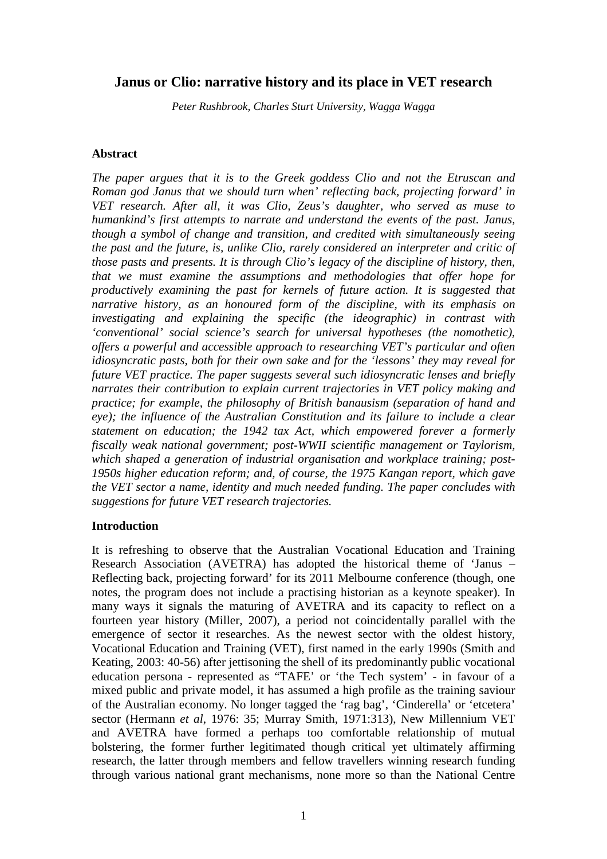# **Janus or Clio: narrative history and its place in VET research**

*Peter Rushbrook, Charles Sturt University, Wagga Wagga* 

#### **Abstract**

*The paper argues that it is to the Greek goddess Clio and not the Etruscan and Roman god Janus that we should turn when' reflecting back, projecting forward' in VET research. After all, it was Clio, Zeus's daughter, who served as muse to humankind's first attempts to narrate and understand the events of the past. Janus, though a symbol of change and transition, and credited with simultaneously seeing the past and the future, is, unlike Clio, rarely considered an interpreter and critic of those pasts and presents. It is through Clio's legacy of the discipline of history, then, that we must examine the assumptions and methodologies that offer hope for productively examining the past for kernels of future action. It is suggested that narrative history, as an honoured form of the discipline, with its emphasis on investigating and explaining the specific (the ideographic) in contrast with 'conventional' social science's search for universal hypotheses (the nomothetic), offers a powerful and accessible approach to researching VET's particular and often idiosyncratic pasts, both for their own sake and for the 'lessons' they may reveal for future VET practice. The paper suggests several such idiosyncratic lenses and briefly narrates their contribution to explain current trajectories in VET policy making and practice; for example, the philosophy of British banausism (separation of hand and eye); the influence of the Australian Constitution and its failure to include a clear statement on education; the 1942 tax Act, which empowered forever a formerly fiscally weak national government; post-WWII scientific management or Taylorism, which shaped a generation of industrial organisation and workplace training; post-1950s higher education reform; and, of course, the 1975 Kangan report, which gave the VET sector a name, identity and much needed funding. The paper concludes with suggestions for future VET research trajectories.* 

### **Introduction**

It is refreshing to observe that the Australian Vocational Education and Training Research Association (AVETRA) has adopted the historical theme of 'Janus – Reflecting back, projecting forward' for its 2011 Melbourne conference (though, one notes, the program does not include a practising historian as a keynote speaker). In many ways it signals the maturing of AVETRA and its capacity to reflect on a fourteen year history (Miller, 2007), a period not coincidentally parallel with the emergence of sector it researches. As the newest sector with the oldest history, Vocational Education and Training (VET), first named in the early 1990s (Smith and Keating, 2003: 40-56) after jettisoning the shell of its predominantly public vocational education persona - represented as "TAFE' or 'the Tech system' - in favour of a mixed public and private model, it has assumed a high profile as the training saviour of the Australian economy. No longer tagged the 'rag bag', 'Cinderella' or 'etcetera' sector (Hermann *et al*, 1976: 35; Murray Smith, 1971:313), New Millennium VET and AVETRA have formed a perhaps too comfortable relationship of mutual bolstering, the former further legitimated though critical yet ultimately affirming research, the latter through members and fellow travellers winning research funding through various national grant mechanisms, none more so than the National Centre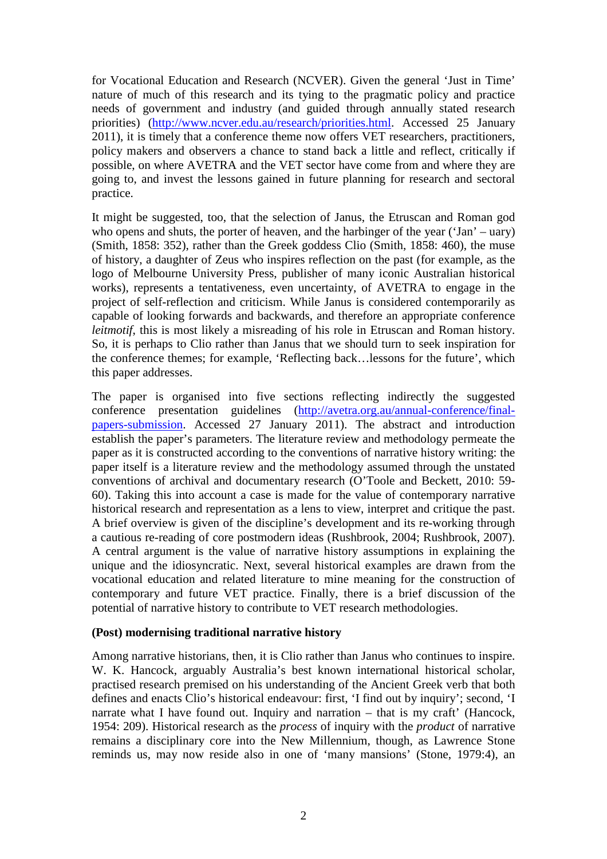for Vocational Education and Research (NCVER). Given the general 'Just in Time' nature of much of this research and its tying to the pragmatic policy and practice needs of government and industry (and guided through annually stated research priorities) (http://www.ncver.edu.au/research/priorities.html. Accessed 25 January 2011), it is timely that a conference theme now offers VET researchers, practitioners, policy makers and observers a chance to stand back a little and reflect, critically if possible, on where AVETRA and the VET sector have come from and where they are going to, and invest the lessons gained in future planning for research and sectoral practice.

It might be suggested, too, that the selection of Janus, the Etruscan and Roman god who opens and shuts, the porter of heaven, and the harbinger of the year ('Jan' – uary) (Smith, 1858: 352), rather than the Greek goddess Clio (Smith, 1858: 460), the muse of history, a daughter of Zeus who inspires reflection on the past (for example, as the logo of Melbourne University Press, publisher of many iconic Australian historical works), represents a tentativeness, even uncertainty, of AVETRA to engage in the project of self-reflection and criticism. While Janus is considered contemporarily as capable of looking forwards and backwards, and therefore an appropriate conference *leitmotif*, this is most likely a misreading of his role in Etruscan and Roman history. So, it is perhaps to Clio rather than Janus that we should turn to seek inspiration for the conference themes; for example, 'Reflecting back…lessons for the future', which this paper addresses.

The paper is organised into five sections reflecting indirectly the suggested conference presentation guidelines (http://avetra.org.au/annual-conference/finalpapers-submission. Accessed 27 January 2011). The abstract and introduction establish the paper's parameters. The literature review and methodology permeate the paper as it is constructed according to the conventions of narrative history writing: the paper itself is a literature review and the methodology assumed through the unstated conventions of archival and documentary research (O'Toole and Beckett, 2010: 59- 60). Taking this into account a case is made for the value of contemporary narrative historical research and representation as a lens to view, interpret and critique the past. A brief overview is given of the discipline's development and its re-working through a cautious re-reading of core postmodern ideas (Rushbrook, 2004; Rushbrook, 2007). A central argument is the value of narrative history assumptions in explaining the unique and the idiosyncratic. Next, several historical examples are drawn from the vocational education and related literature to mine meaning for the construction of contemporary and future VET practice. Finally, there is a brief discussion of the potential of narrative history to contribute to VET research methodologies.

### **(Post) modernising traditional narrative history**

Among narrative historians, then, it is Clio rather than Janus who continues to inspire. W. K. Hancock, arguably Australia's best known international historical scholar, practised research premised on his understanding of the Ancient Greek verb that both defines and enacts Clio's historical endeavour: first, 'I find out by inquiry'; second, 'I narrate what I have found out. Inquiry and narration – that is my craft' (Hancock, 1954: 209). Historical research as the *process* of inquiry with the *product* of narrative remains a disciplinary core into the New Millennium, though, as Lawrence Stone reminds us, may now reside also in one of 'many mansions' (Stone, 1979:4), an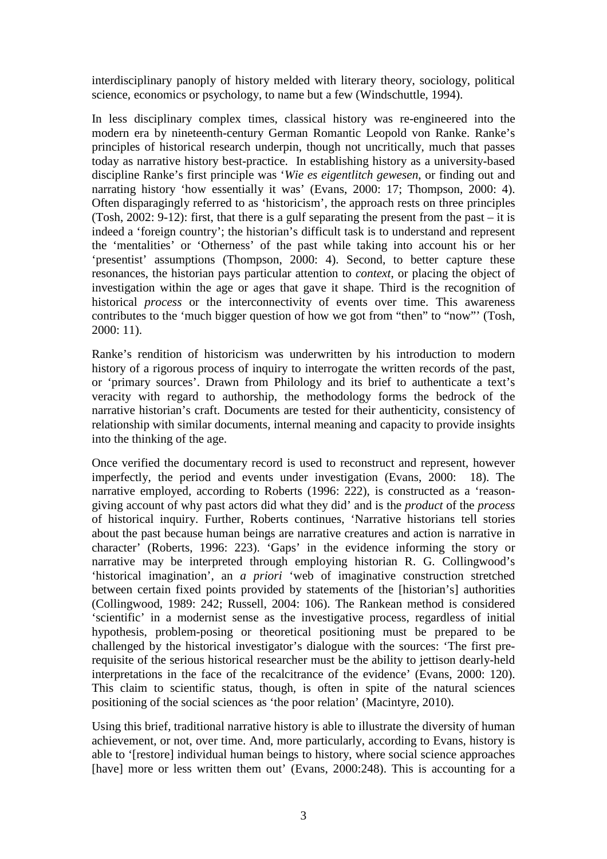interdisciplinary panoply of history melded with literary theory, sociology, political science, economics or psychology, to name but a few (Windschuttle, 1994).

In less disciplinary complex times, classical history was re-engineered into the modern era by nineteenth-century German Romantic Leopold von Ranke. Ranke's principles of historical research underpin, though not uncritically, much that passes today as narrative history best-practice. In establishing history as a university-based discipline Ranke's first principle was '*Wie es eigentlitch gewesen*, or finding out and narrating history 'how essentially it was' (Evans, 2000: 17; Thompson, 2000: 4). Often disparagingly referred to as 'historicism', the approach rests on three principles (Tosh, 2002: 9-12): first, that there is a gulf separating the present from the past – it is indeed a 'foreign country'; the historian's difficult task is to understand and represent the 'mentalities' or 'Otherness' of the past while taking into account his or her 'presentist' assumptions (Thompson, 2000: 4). Second, to better capture these resonances, the historian pays particular attention to *context*, or placing the object of investigation within the age or ages that gave it shape. Third is the recognition of historical *process* or the interconnectivity of events over time. This awareness contributes to the 'much bigger question of how we got from "then" to "now"' (Tosh, 2000: 11).

Ranke's rendition of historicism was underwritten by his introduction to modern history of a rigorous process of inquiry to interrogate the written records of the past, or 'primary sources'. Drawn from Philology and its brief to authenticate a text's veracity with regard to authorship, the methodology forms the bedrock of the narrative historian's craft. Documents are tested for their authenticity, consistency of relationship with similar documents, internal meaning and capacity to provide insights into the thinking of the age.

Once verified the documentary record is used to reconstruct and represent, however imperfectly, the period and events under investigation (Evans, 2000: 18). The narrative employed, according to Roberts (1996: 222), is constructed as a 'reasongiving account of why past actors did what they did' and is the *product* of the *process* of historical inquiry. Further, Roberts continues, 'Narrative historians tell stories about the past because human beings are narrative creatures and action is narrative in character' (Roberts, 1996: 223). 'Gaps' in the evidence informing the story or narrative may be interpreted through employing historian R. G. Collingwood's 'historical imagination', an *a priori* 'web of imaginative construction stretched between certain fixed points provided by statements of the [historian's] authorities (Collingwood, 1989: 242; Russell, 2004: 106). The Rankean method is considered 'scientific' in a modernist sense as the investigative process, regardless of initial hypothesis, problem-posing or theoretical positioning must be prepared to be challenged by the historical investigator's dialogue with the sources: 'The first prerequisite of the serious historical researcher must be the ability to jettison dearly-held interpretations in the face of the recalcitrance of the evidence' (Evans, 2000: 120). This claim to scientific status, though, is often in spite of the natural sciences positioning of the social sciences as 'the poor relation' (Macintyre, 2010).

Using this brief, traditional narrative history is able to illustrate the diversity of human achievement, or not, over time. And, more particularly, according to Evans, history is able to '[restore] individual human beings to history, where social science approaches [have] more or less written them out' (Evans, 2000:248). This is accounting for a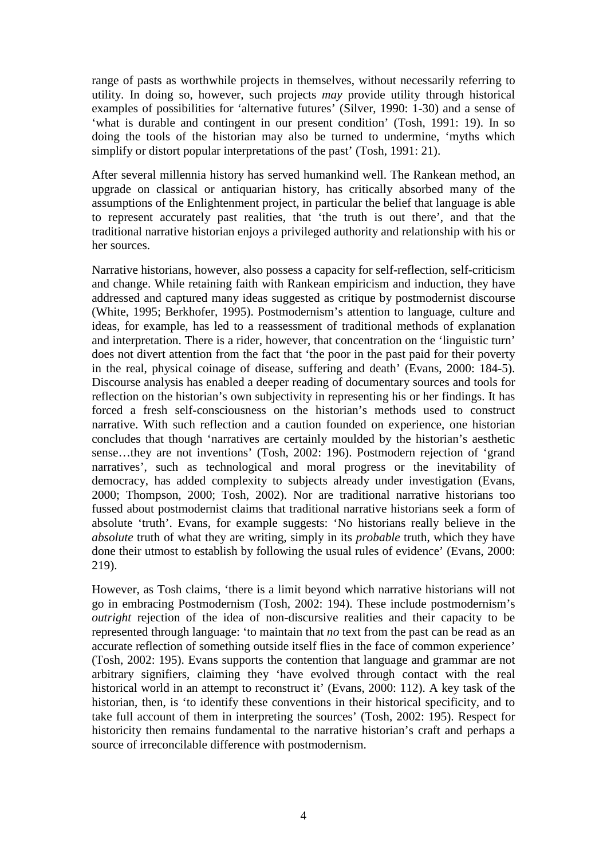range of pasts as worthwhile projects in themselves, without necessarily referring to utility. In doing so, however, such projects *may* provide utility through historical examples of possibilities for 'alternative futures' (Silver, 1990: 1-30) and a sense of 'what is durable and contingent in our present condition' (Tosh, 1991: 19). In so doing the tools of the historian may also be turned to undermine, 'myths which simplify or distort popular interpretations of the past' (Tosh, 1991: 21).

After several millennia history has served humankind well. The Rankean method, an upgrade on classical or antiquarian history, has critically absorbed many of the assumptions of the Enlightenment project, in particular the belief that language is able to represent accurately past realities, that 'the truth is out there', and that the traditional narrative historian enjoys a privileged authority and relationship with his or her sources.

Narrative historians, however, also possess a capacity for self-reflection, self-criticism and change. While retaining faith with Rankean empiricism and induction, they have addressed and captured many ideas suggested as critique by postmodernist discourse (White, 1995; Berkhofer, 1995). Postmodernism's attention to language, culture and ideas, for example, has led to a reassessment of traditional methods of explanation and interpretation. There is a rider, however, that concentration on the 'linguistic turn' does not divert attention from the fact that 'the poor in the past paid for their poverty in the real, physical coinage of disease, suffering and death' (Evans, 2000: 184-5). Discourse analysis has enabled a deeper reading of documentary sources and tools for reflection on the historian's own subjectivity in representing his or her findings. It has forced a fresh self-consciousness on the historian's methods used to construct narrative. With such reflection and a caution founded on experience, one historian concludes that though 'narratives are certainly moulded by the historian's aesthetic sense…they are not inventions' (Tosh, 2002: 196). Postmodern rejection of 'grand narratives', such as technological and moral progress or the inevitability of democracy, has added complexity to subjects already under investigation (Evans, 2000; Thompson, 2000; Tosh, 2002). Nor are traditional narrative historians too fussed about postmodernist claims that traditional narrative historians seek a form of absolute 'truth'. Evans, for example suggests: 'No historians really believe in the *absolute* truth of what they are writing, simply in its *probable* truth, which they have done their utmost to establish by following the usual rules of evidence' (Evans, 2000: 219).

However, as Tosh claims, 'there is a limit beyond which narrative historians will not go in embracing Postmodernism (Tosh, 2002: 194). These include postmodernism's *outright* rejection of the idea of non-discursive realities and their capacity to be represented through language: 'to maintain that *no* text from the past can be read as an accurate reflection of something outside itself flies in the face of common experience' (Tosh, 2002: 195). Evans supports the contention that language and grammar are not arbitrary signifiers, claiming they 'have evolved through contact with the real historical world in an attempt to reconstruct it' (Evans, 2000: 112). A key task of the historian, then, is 'to identify these conventions in their historical specificity, and to take full account of them in interpreting the sources' (Tosh, 2002: 195). Respect for historicity then remains fundamental to the narrative historian's craft and perhaps a source of irreconcilable difference with postmodernism.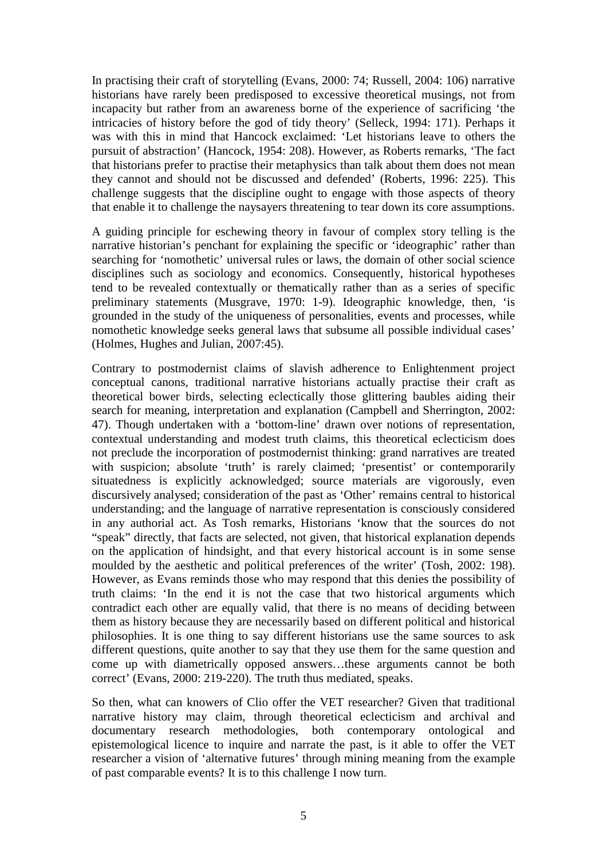In practising their craft of storytelling (Evans, 2000: 74; Russell, 2004: 106) narrative historians have rarely been predisposed to excessive theoretical musings, not from incapacity but rather from an awareness borne of the experience of sacrificing 'the intricacies of history before the god of tidy theory' (Selleck, 1994: 171). Perhaps it was with this in mind that Hancock exclaimed: 'Let historians leave to others the pursuit of abstraction' (Hancock, 1954: 208). However, as Roberts remarks, 'The fact that historians prefer to practise their metaphysics than talk about them does not mean they cannot and should not be discussed and defended' (Roberts, 1996: 225). This challenge suggests that the discipline ought to engage with those aspects of theory that enable it to challenge the naysayers threatening to tear down its core assumptions.

A guiding principle for eschewing theory in favour of complex story telling is the narrative historian's penchant for explaining the specific or 'ideographic' rather than searching for 'nomothetic' universal rules or laws, the domain of other social science disciplines such as sociology and economics. Consequently, historical hypotheses tend to be revealed contextually or thematically rather than as a series of specific preliminary statements (Musgrave, 1970: 1-9). Ideographic knowledge, then, 'is grounded in the study of the uniqueness of personalities, events and processes, while nomothetic knowledge seeks general laws that subsume all possible individual cases' (Holmes, Hughes and Julian, 2007:45).

Contrary to postmodernist claims of slavish adherence to Enlightenment project conceptual canons, traditional narrative historians actually practise their craft as theoretical bower birds, selecting eclectically those glittering baubles aiding their search for meaning, interpretation and explanation (Campbell and Sherrington, 2002: 47). Though undertaken with a 'bottom-line' drawn over notions of representation, contextual understanding and modest truth claims, this theoretical eclecticism does not preclude the incorporation of postmodernist thinking: grand narratives are treated with suspicion; absolute 'truth' is rarely claimed; 'presentist' or contemporarily situatedness is explicitly acknowledged; source materials are vigorously, even discursively analysed; consideration of the past as 'Other' remains central to historical understanding; and the language of narrative representation is consciously considered in any authorial act. As Tosh remarks, Historians 'know that the sources do not "speak" directly, that facts are selected, not given, that historical explanation depends on the application of hindsight, and that every historical account is in some sense moulded by the aesthetic and political preferences of the writer' (Tosh, 2002: 198). However, as Evans reminds those who may respond that this denies the possibility of truth claims: 'In the end it is not the case that two historical arguments which contradict each other are equally valid, that there is no means of deciding between them as history because they are necessarily based on different political and historical philosophies. It is one thing to say different historians use the same sources to ask different questions, quite another to say that they use them for the same question and come up with diametrically opposed answers…these arguments cannot be both correct' (Evans, 2000: 219-220). The truth thus mediated, speaks.

So then, what can knowers of Clio offer the VET researcher? Given that traditional narrative history may claim, through theoretical eclecticism and archival and documentary research methodologies, both contemporary ontological and epistemological licence to inquire and narrate the past, is it able to offer the VET researcher a vision of 'alternative futures' through mining meaning from the example of past comparable events? It is to this challenge I now turn.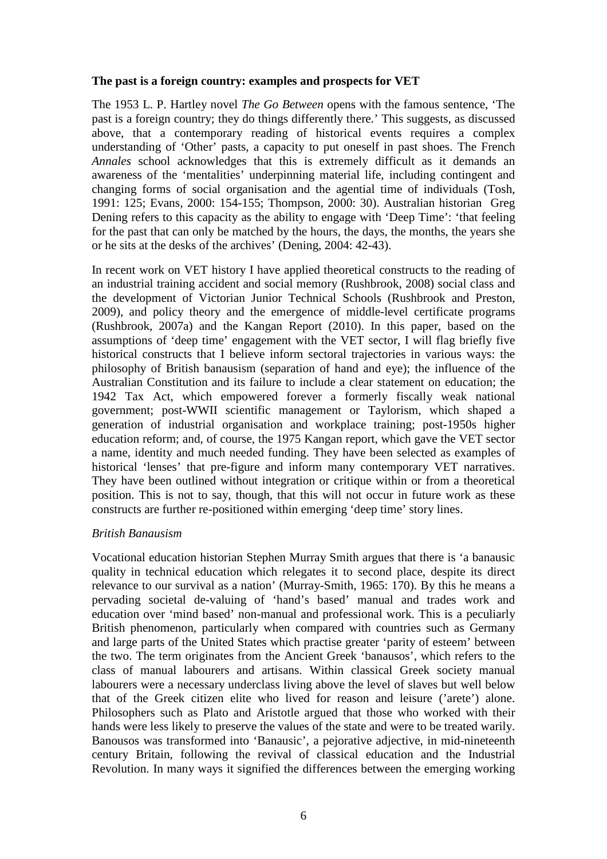## **The past is a foreign country: examples and prospects for VET**

The 1953 L. P. Hartley novel *The Go Between* opens with the famous sentence, 'The past is a foreign country; they do things differently there.' This suggests, as discussed above, that a contemporary reading of historical events requires a complex understanding of 'Other' pasts, a capacity to put oneself in past shoes. The French *Annales* school acknowledges that this is extremely difficult as it demands an awareness of the 'mentalities' underpinning material life, including contingent and changing forms of social organisation and the agential time of individuals (Tosh, 1991: 125; Evans, 2000: 154-155; Thompson, 2000: 30). Australian historian Greg Dening refers to this capacity as the ability to engage with 'Deep Time': 'that feeling for the past that can only be matched by the hours, the days, the months, the years she or he sits at the desks of the archives' (Dening, 2004: 42-43).

In recent work on VET history I have applied theoretical constructs to the reading of an industrial training accident and social memory (Rushbrook, 2008) social class and the development of Victorian Junior Technical Schools (Rushbrook and Preston, 2009), and policy theory and the emergence of middle-level certificate programs (Rushbrook, 2007a) and the Kangan Report (2010). In this paper, based on the assumptions of 'deep time' engagement with the VET sector, I will flag briefly five historical constructs that I believe inform sectoral trajectories in various ways: the philosophy of British banausism (separation of hand and eye); the influence of the Australian Constitution and its failure to include a clear statement on education; the 1942 Tax Act, which empowered forever a formerly fiscally weak national government; post-WWII scientific management or Taylorism, which shaped a generation of industrial organisation and workplace training; post-1950s higher education reform; and, of course, the 1975 Kangan report, which gave the VET sector a name, identity and much needed funding. They have been selected as examples of historical 'lenses' that pre-figure and inform many contemporary VET narratives. They have been outlined without integration or critique within or from a theoretical position. This is not to say, though, that this will not occur in future work as these constructs are further re-positioned within emerging 'deep time' story lines.

### *British Banausism*

Vocational education historian Stephen Murray Smith argues that there is 'a banausic quality in technical education which relegates it to second place, despite its direct relevance to our survival as a nation' (Murray-Smith, 1965: 170). By this he means a pervading societal de-valuing of 'hand's based' manual and trades work and education over 'mind based' non-manual and professional work. This is a peculiarly British phenomenon, particularly when compared with countries such as Germany and large parts of the United States which practise greater 'parity of esteem' between the two. The term originates from the Ancient Greek 'banausos', which refers to the class of manual labourers and artisans. Within classical Greek society manual labourers were a necessary underclass living above the level of slaves but well below that of the Greek citizen elite who lived for reason and leisure ('arete') alone. Philosophers such as Plato and Aristotle argued that those who worked with their hands were less likely to preserve the values of the state and were to be treated warily. Banousos was transformed into 'Banausic', a pejorative adjective, in mid-nineteenth century Britain, following the revival of classical education and the Industrial Revolution. In many ways it signified the differences between the emerging working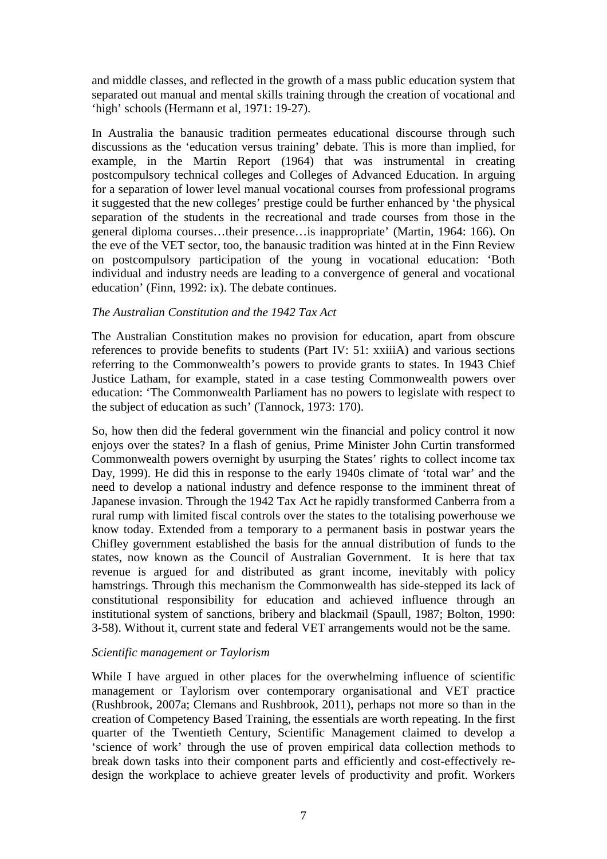and middle classes, and reflected in the growth of a mass public education system that separated out manual and mental skills training through the creation of vocational and 'high' schools (Hermann et al, 1971: 19-27).

In Australia the banausic tradition permeates educational discourse through such discussions as the 'education versus training' debate. This is more than implied, for example, in the Martin Report (1964) that was instrumental in creating postcompulsory technical colleges and Colleges of Advanced Education. In arguing for a separation of lower level manual vocational courses from professional programs it suggested that the new colleges' prestige could be further enhanced by 'the physical separation of the students in the recreational and trade courses from those in the general diploma courses…their presence…is inappropriate' (Martin, 1964: 166). On the eve of the VET sector, too, the banausic tradition was hinted at in the Finn Review on postcompulsory participation of the young in vocational education: 'Both individual and industry needs are leading to a convergence of general and vocational education' (Finn, 1992: ix). The debate continues.

### *The Australian Constitution and the 1942 Tax Act*

The Australian Constitution makes no provision for education, apart from obscure references to provide benefits to students (Part IV: 51: xxiiiA) and various sections referring to the Commonwealth's powers to provide grants to states. In 1943 Chief Justice Latham, for example, stated in a case testing Commonwealth powers over education: 'The Commonwealth Parliament has no powers to legislate with respect to the subject of education as such' (Tannock, 1973: 170).

So, how then did the federal government win the financial and policy control it now enjoys over the states? In a flash of genius, Prime Minister John Curtin transformed Commonwealth powers overnight by usurping the States' rights to collect income tax Day, 1999). He did this in response to the early 1940s climate of 'total war' and the need to develop a national industry and defence response to the imminent threat of Japanese invasion. Through the 1942 Tax Act he rapidly transformed Canberra from a rural rump with limited fiscal controls over the states to the totalising powerhouse we know today. Extended from a temporary to a permanent basis in postwar years the Chifley government established the basis for the annual distribution of funds to the states, now known as the Council of Australian Government. It is here that tax revenue is argued for and distributed as grant income, inevitably with policy hamstrings. Through this mechanism the Commonwealth has side-stepped its lack of constitutional responsibility for education and achieved influence through an institutional system of sanctions, bribery and blackmail (Spaull, 1987; Bolton, 1990: 3-58). Without it, current state and federal VET arrangements would not be the same.

#### *Scientific management or Taylorism*

While I have argued in other places for the overwhelming influence of scientific management or Taylorism over contemporary organisational and VET practice (Rushbrook, 2007a; Clemans and Rushbrook, 2011), perhaps not more so than in the creation of Competency Based Training, the essentials are worth repeating. In the first quarter of the Twentieth Century, Scientific Management claimed to develop a 'science of work' through the use of proven empirical data collection methods to break down tasks into their component parts and efficiently and cost-effectively redesign the workplace to achieve greater levels of productivity and profit. Workers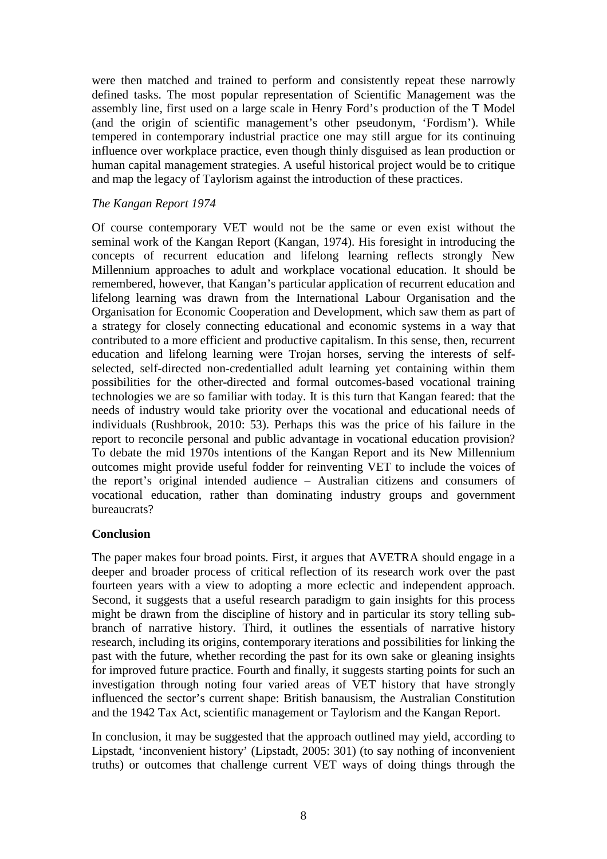were then matched and trained to perform and consistently repeat these narrowly defined tasks. The most popular representation of Scientific Management was the assembly line, first used on a large scale in Henry Ford's production of the T Model (and the origin of scientific management's other pseudonym, 'Fordism'). While tempered in contemporary industrial practice one may still argue for its continuing influence over workplace practice, even though thinly disguised as lean production or human capital management strategies. A useful historical project would be to critique and map the legacy of Taylorism against the introduction of these practices.

## *The Kangan Report 1974*

Of course contemporary VET would not be the same or even exist without the seminal work of the Kangan Report (Kangan, 1974). His foresight in introducing the concepts of recurrent education and lifelong learning reflects strongly New Millennium approaches to adult and workplace vocational education. It should be remembered, however, that Kangan's particular application of recurrent education and lifelong learning was drawn from the International Labour Organisation and the Organisation for Economic Cooperation and Development, which saw them as part of a strategy for closely connecting educational and economic systems in a way that contributed to a more efficient and productive capitalism. In this sense, then, recurrent education and lifelong learning were Trojan horses, serving the interests of selfselected, self-directed non-credentialled adult learning yet containing within them possibilities for the other-directed and formal outcomes-based vocational training technologies we are so familiar with today. It is this turn that Kangan feared: that the needs of industry would take priority over the vocational and educational needs of individuals (Rushbrook, 2010: 53). Perhaps this was the price of his failure in the report to reconcile personal and public advantage in vocational education provision? To debate the mid 1970s intentions of the Kangan Report and its New Millennium outcomes might provide useful fodder for reinventing VET to include the voices of the report's original intended audience – Australian citizens and consumers of vocational education, rather than dominating industry groups and government bureaucrats?

## **Conclusion**

The paper makes four broad points. First, it argues that AVETRA should engage in a deeper and broader process of critical reflection of its research work over the past fourteen years with a view to adopting a more eclectic and independent approach. Second, it suggests that a useful research paradigm to gain insights for this process might be drawn from the discipline of history and in particular its story telling subbranch of narrative history. Third, it outlines the essentials of narrative history research, including its origins, contemporary iterations and possibilities for linking the past with the future, whether recording the past for its own sake or gleaning insights for improved future practice. Fourth and finally, it suggests starting points for such an investigation through noting four varied areas of VET history that have strongly influenced the sector's current shape: British banausism, the Australian Constitution and the 1942 Tax Act, scientific management or Taylorism and the Kangan Report.

In conclusion, it may be suggested that the approach outlined may yield, according to Lipstadt, 'inconvenient history' (Lipstadt, 2005: 301) (to say nothing of inconvenient truths) or outcomes that challenge current VET ways of doing things through the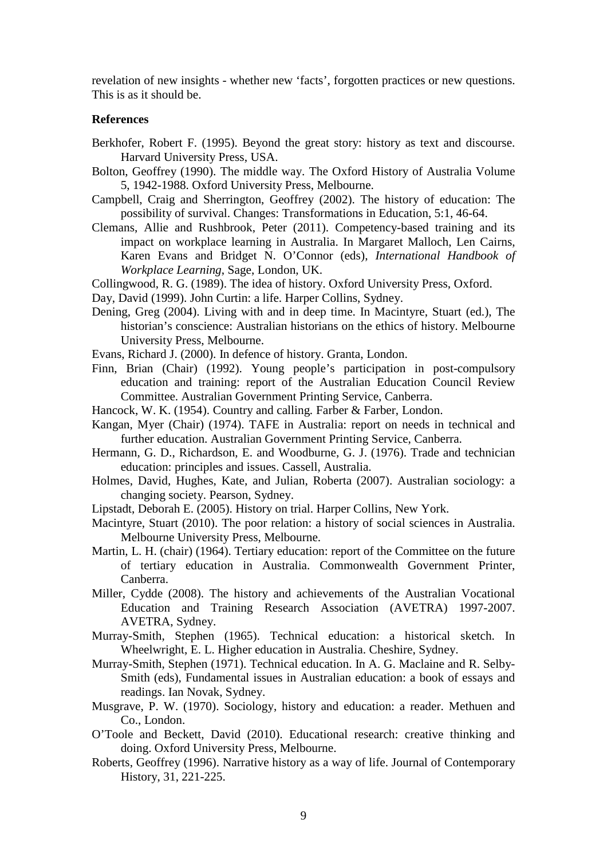revelation of new insights - whether new 'facts', forgotten practices or new questions. This is as it should be.

#### **References**

- Berkhofer, Robert F. (1995). Beyond the great story: history as text and discourse. Harvard University Press, USA.
- Bolton, Geoffrey (1990). The middle way. The Oxford History of Australia Volume 5, 1942-1988. Oxford University Press, Melbourne.
- Campbell, Craig and Sherrington, Geoffrey (2002). The history of education: The possibility of survival. Changes: Transformations in Education, 5:1, 46-64.
- Clemans, Allie and Rushbrook, Peter (2011). Competency-based training and its impact on workplace learning in Australia. In Margaret Malloch, Len Cairns, Karen Evans and Bridget N. O'Connor (eds), *International Handbook of Workplace Learning*, Sage, London, UK.

Collingwood, R. G. (1989). The idea of history. Oxford University Press, Oxford.

- Day, David (1999). John Curtin: a life. Harper Collins, Sydney.
- Dening, Greg (2004). Living with and in deep time. In Macintyre, Stuart (ed.), The historian's conscience: Australian historians on the ethics of history. Melbourne University Press, Melbourne.
- Evans, Richard J. (2000). In defence of history. Granta, London.
- Finn, Brian (Chair) (1992). Young people's participation in post-compulsory education and training: report of the Australian Education Council Review Committee. Australian Government Printing Service, Canberra.
- Hancock, W. K. (1954). Country and calling*.* Farber & Farber, London.
- Kangan, Myer (Chair) (1974). TAFE in Australia: report on needs in technical and further education. Australian Government Printing Service, Canberra.
- Hermann, G. D., Richardson, E. and Woodburne, G. J. (1976). Trade and technician education: principles and issues. Cassell, Australia.
- Holmes, David, Hughes, Kate, and Julian, Roberta (2007). Australian sociology: a changing society. Pearson, Sydney.
- Lipstadt, Deborah E. (2005). History on trial. Harper Collins, New York.
- Macintyre, Stuart (2010). The poor relation: a history of social sciences in Australia. Melbourne University Press, Melbourne.
- Martin, L. H. (chair) (1964). Tertiary education: report of the Committee on the future of tertiary education in Australia. Commonwealth Government Printer, Canberra.
- Miller, Cydde (2008). The history and achievements of the Australian Vocational Education and Training Research Association (AVETRA) 1997-2007. AVETRA, Sydney.
- Murray-Smith, Stephen (1965). Technical education: a historical sketch. In Wheelwright, E. L. Higher education in Australia. Cheshire, Sydney.
- Murray-Smith, Stephen (1971). Technical education. In A. G. Maclaine and R. Selby-Smith (eds), Fundamental issues in Australian education: a book of essays and readings. Ian Novak, Sydney.
- Musgrave, P. W. (1970). Sociology, history and education: a reader. Methuen and Co., London.
- O'Toole and Beckett, David (2010). Educational research: creative thinking and doing. Oxford University Press, Melbourne.
- Roberts, Geoffrey (1996). Narrative history as a way of life. Journal of Contemporary History, 31, 221-225.